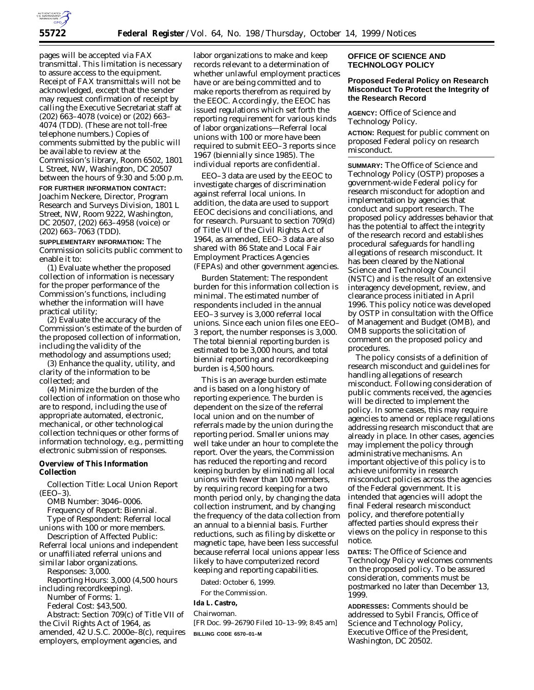

pages will be accepted via FAX transmittal. This limitation is necessary to assure access to the equipment. Receipt of FAX transmittals will not be acknowledged, except that the sender may request confirmation of receipt by calling the Executive Secretariat staff at (202) 663–4078 (voice) or (202) 663– 4074 (TDD). (These are not toll-free telephone numbers.) Copies of comments submitted by the public will be available to review at the Commission's library, Room 6502, 1801 L Street, NW, Washington, DC 20507 between the hours of 9:30 and 5:00 p.m. **FOR FURTHER INFORMATION CONTACT:** Joachim Neckere, Director, Program Research and Surveys Division, 1801 L Street, NW, Room 9222, Washington, DC 20507, (202) 663–4958 (voice) or (202) 663–7063 (TDD).

**SUPPLEMENTARY INFORMATION:** The Commission solicits public comment to enable it to:

(1) Evaluate whether the proposed collection of information is necessary for the proper performance of the Commission's functions, including whether the information will have practical utility;

(2) Evaluate the accuracy of the Commission's estimate of the burden of the proposed collection of information, including the validity of the methodology and assumptions used;

(3) Enhance the quality, utility, and clarity of the information to be collected; and

(4) Minimize the burden of the collection of information on those who are to respond, including the use of appropriate automated, electronic, mechanical, or other technological collection techniques or other forms of information technology, *e.g.,* permitting electronic submission of responses.

# **Overview of This Information Collection**

*Collection Title:* Local Union Report (EEO–3).

*OMB Number:* 3046–0006. *Frequency of Report:* Biennial. *Type of Respondent:* Referral local unions with 100 or more members.

*Description of Affected Public:* Referral local unions and independent or unaffiliated referral unions and similar labor organizations.

*Responses:* 3,000. *Reporting Hours:* 3,000 (4,500 hours including recordkeeping). *Number of Forms:* 1. *Federal Cost:* \$43,500.

*Abstract:* Section 709(c) of Title VII of the Civil Rights Act of 1964, as amended, 42 U.S.C. 2000e–8(c), requires employers, employment agencies, and

labor organizations to make and keep records relevant to a determination of whether unlawful employment practices have or are being committed and to make reports therefrom as required by the EEOC. Accordingly, the EEOC has issued regulations which set forth the reporting requirement for various kinds of labor organizations—Referral local unions with 100 or more have been required to submit EEO–3 reports since 1967 (biennially since 1985). The individual reports are confidential.

EEO–3 data are used by the EEOC to investigate charges of discrimination against referral local unions. In addition, the data are used to support EEOC decisions and conciliations, and for research. Pursuant to section 709(d) of Title VII of the Civil Rights Act of 1964, as amended, EEO–3 data are also shared with 86 State and Local Fair Employment Practices Agencies (FEPAs) and other government agencies.

*Burden Statement:* The respondent burden for this information collection is minimal. The estimated number of respondents included in the annual EEO–3 survey is 3,000 referral local unions. Since each union files one EEO– 3 report, the number responses is 3,000. The total biennial reporting burden is estimated to be 3,000 hours, and total biennial reporting and recordkeeping burden is 4,500 hours.

This is an average burden estimate and is based on a long history of reporting experience. The burden is dependent on the size of the referral local union and on the number of referrals made by the union during the reporting period. Smaller unions may well take under an hour to complete the report. Over the years, the Commission has reduced the reporting and record keeping burden by eliminating all local unions with fewer than 100 members, by requiring record keeping for a two month period only, by changing the data collection instrument, and by changing the frequency of the data collection from an annual to a biennial basis. Further reductions, such as filing by diskette or magnetic tape, have been less successful because referral local unions appear less likely to have computerized record keeping and reporting capabilities.

Dated: October 6, 1999.

For the Commission.

# **Ida L. Castro,**

*Chairwoman.*

[FR Doc. 99–26790 Filed 10–13–99; 8:45 am] **BILLING CODE 6570–01–M**

# **OFFICE OF SCIENCE AND TECHNOLOGY POLICY**

# **Proposed Federal Policy on Research Misconduct To Protect the Integrity of the Research Record**

**AGENCY:** Office of Science and Technology Policy.

**ACTION:** Request for public comment on proposed Federal policy on research misconduct.

**SUMMARY:** The Office of Science and Technology Policy (OSTP) proposes a government-wide Federal policy for research misconduct for adoption and implementation by agencies that conduct and support research. The proposed policy addresses behavior that has the potential to affect the integrity of the research record and establishes procedural safeguards for handling allegations of research misconduct. It has been cleared by the National Science and Technology Council (NSTC) and is the result of an extensive interagency development, review, and clearance process initiated in April 1996. This policy notice was developed by OSTP in consultation with the Office of Management and Budget (OMB), and OMB supports the solicitation of comment on the proposed policy and procedures.

The policy consists of a definition of research misconduct and guidelines for handling allegations of research misconduct. Following consideration of public comments received, the agencies will be directed to implement the policy. In some cases, this may require agencies to amend or replace regulations addressing research misconduct that are already in place. In other cases, agencies may implement the policy through administrative mechanisms. An important objective of this policy is to achieve uniformity in research misconduct policies across the agencies of the Federal government. It is intended that agencies will adopt the final Federal research misconduct policy, and therefore potentially affected parties should express their views on the policy in response to this notice.

**DATES:** The Office of Science and Technology Policy welcomes comments on the proposed policy. To be assured consideration, comments must be postmarked no later than December 13, 1999.

**ADDRESSES:** Comments should be addressed to Sybil Francis, Office of Science and Technology Policy, Executive Office of the President, Washington, DC 20502.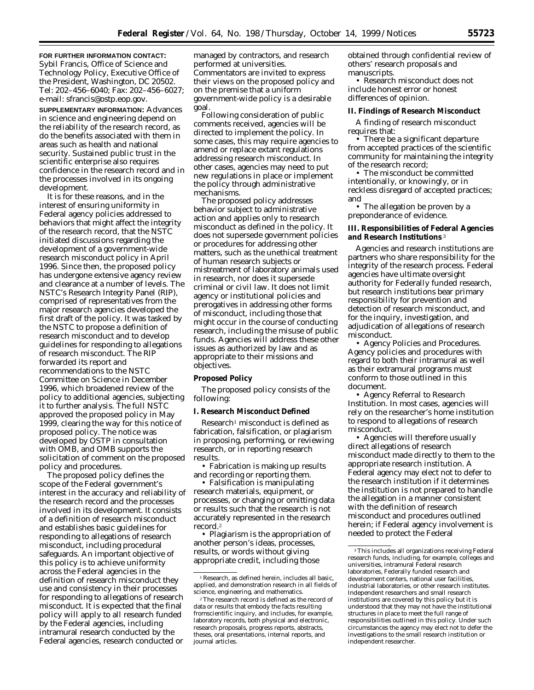**FOR FURTHER INFORMATION CONTACT:** Sybil Francis, Office of Science and Technology Policy, Executive Office of the President, Washington, DC 20502. Tel: 202–456–6040; Fax: 202–456–6027;

e-mail: sfrancis@ostp.eop.gov. **SUPPLEMENTARY INFORMATION:** Advances in science and engineering depend on the reliability of the research record, as do the benefits associated with them in areas such as health and national security. Sustained public trust in the scientific enterprise also requires confidence in the research record and in the processes involved in its ongoing development.

It is for these reasons, and in the interest of ensuring uniformity in Federal agency policies addressed to behaviors that might affect the integrity of the research record, that the NSTC initiated discussions regarding the development of a government-wide research misconduct policy in April 1996. Since then, the proposed policy has undergone extensive agency review and clearance at a number of levels. The NSTC's Research Integrity Panel (RIP), comprised of representatives from the major research agencies developed the first draft of the policy. It was tasked by the NSTC to propose a definition of research misconduct and to develop guidelines for responding to allegations of research misconduct. The RIP forwarded its report and recommendations to the NSTC Committee on Science in December 1996, which broadened review of the policy to additional agencies, subjecting it to further analysis. The full NSTC approved the proposed policy in May 1999, clearing the way for this notice of proposed policy. The notice was developed by OSTP in consultation with OMB, and OMB supports the solicitation of comment on the proposed policy and procedures.

The proposed policy defines the scope of the Federal government's interest in the accuracy and reliability of the research record and the processes involved in its development. It consists of a definition of research misconduct and establishes basic guidelines for responding to allegations of research misconduct, including procedural safeguards. An important objective of this policy is to achieve uniformity across the Federal agencies in the definition of research misconduct they use and consistency in their processes for responding to allegations of research misconduct. It is expected that the final policy will apply to all research funded by the Federal agencies, including intramural research conducted by the Federal agencies, research conducted or

managed by contractors, and research performed at universities. Commentators are invited to express their views on the proposed policy and on the premise that a uniform government-wide policy is a desirable goal.

Following consideration of public comments received, agencies will be directed to implement the policy. In some cases, this may require agencies to amend or replace extant regulations addressing research misconduct. In other cases, agencies may need to put new regulations in place or implement the policy through administrative mechanisms.

The proposed policy addresses behavior subject to administrative action and applies only to research misconduct as defined in the policy. It does not supersede government policies or procedures for addressing other matters, such as the unethical treatment of human research subjects or mistreatment of laboratory animals used in research, nor does it supersede criminal or civil law. It does not limit agency or institutional policies and prerogatives in addressing other forms of misconduct, including those that might occur in the course of conducting research, including the misuse of public funds. Agencies will address these other issues as authorized by law and as appropriate to their missions and objectives.

#### **Proposed Policy**

The proposed policy consists of the following:

#### **I. Research Misconduct Defined**

Research1 misconduct is defined as fabrication, falsification, or plagiarism in proposing, performing, or reviewing research, or in reporting research results.

• *Fabrication* is making up results and recording or reporting them.

• *Falsification* is manipulating research materials, equipment, or processes, or changing or omitting data or results such that the research is not accurately represented in the research record.2

• *Plagiarism* is the appropriation of another person's ideas, processes, results, or words without giving appropriate credit, including those

obtained through confidential review of others' research proposals and manuscripts.

• Research misconduct does not include honest error or honest differences of opinion.

# **II. Findings of Research Misconduct**

A finding of research misconduct requires that:

• There be a significant departure from accepted practices of the scientific community for maintaining the integrity of the research record;

• The misconduct be committed intentionally, or knowingly, or in reckless disregard of accepted practices; and

• The allegation be proven by a preponderance of evidence.

### **III. Responsibilities of Federal Agencies and Research Institutions** 3

Agencies and research institutions are partners who share responsibility for the integrity of the research process. Federal agencies have ultimate oversight authority for Federally funded research, but research institutions bear primary responsibility for prevention and detection of research misconduct, and for the inquiry, investigation, and adjudication of allegations of research misconduct.

• *Agency Policies and Procedures.* Agency policies and procedures with regard to both their intramural as well as their extramural programs must conform to those outlined in this document.

• *Agency Referral to Research Institution.* In most cases, agencies will rely on the researcher's home institution to respond to allegations of research misconduct.

• Agencies will therefore usually direct allegations of research misconduct made directly to them to the appropriate research institution. A Federal agency may elect not to defer to the research institution if it determines the institution is not prepared to handle the allegation in a manner consistent with the definition of research misconduct and procedures outlined herein; if Federal agency involvement is needed to protect the Federal

<sup>1</sup>Research, as defined herein, includes all basic, applied, and demonstration research in all fields of science, engineering, and mathematics.

<sup>2</sup>The research record is defined as the record of data or results that embody the facts resulting fromscientific inquiry, and includes, for example, laboratory records, both physical and electronic, research proposals, progress reports, abstracts, theses, oral presentations, internal reports, and journal articles.

 $^{\rm 3}$  This includes all organizations receiving Federal research funds, including, for example, colleges and universities, intramural Federal research laboratories, Federally funded research and development centers, national user facilities, industrial laboratories, or other research institutes. Independent researchers and small research institutions are covered by this policy but it is understood that they may not have the institutional structures in place to meet the full range of responsibilities outlined in this policy. Under such circumstances the agency may elect not to defer the investigations to the small research institution or independent researcher.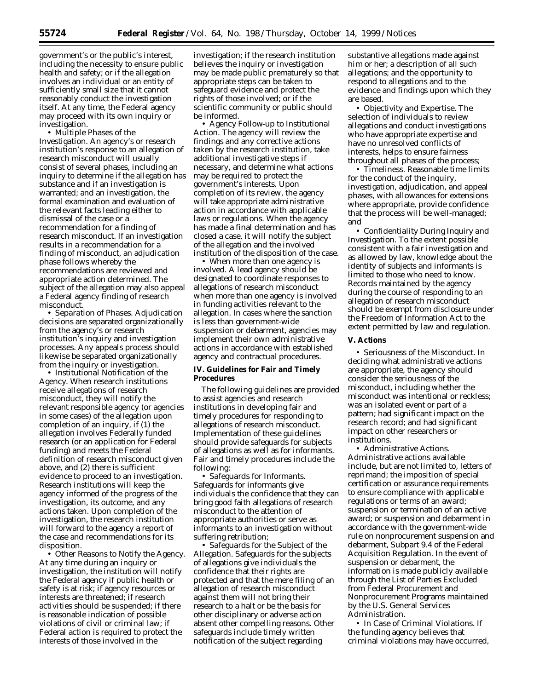government's or the public's interest, including the necessity to ensure public health and safety; or if the allegation involves an individual or an entity of sufficiently small size that it cannot reasonably conduct the investigation itself. At any time, the Federal agency may proceed with its own inquiry or investigation.

• *Multiple Phases of the Investigation.* An agency's or research institution's response to an allegation of research misconduct will usually consist of several phases, including an *inquiry* to determine if the allegation has substance and if an investigation is warranted; and an *investigation,* the formal examination and evaluation of the relevant facts leading either to dismissal of the case or a recommendation for a finding of research misconduct. If an investigation results in a recommendation for a finding of misconduct, an adjudication phase follows whereby the recommendations are reviewed and appropriate action determined. The subject of the allegation may also *appeal* a Federal agency finding of research misconduct.

• *Separation of Phases.* Adjudication decisions are separated organizationally from the agency's or research institution's inquiry and investigation processes. Any appeals process should likewise be separated organizationally from the inquiry or investigation.

• *Institutional Notification of the Agency.* When research institutions receive allegations of research misconduct, they will notify the relevant responsible agency (or agencies in some cases) of the allegation upon completion of an inquiry, if (1) the allegation involves Federally funded research (or an application for Federal funding) and meets the Federal definition of research misconduct given above, and (2) there is sufficient evidence to proceed to an investigation. Research institutions will keep the agency informed of the progress of the investigation, its outcome, and any actions taken. Upon completion of the investigation, the research institution will forward to the agency a report of the case and recommendations for its disposition.

• *Other Reasons to Notify the Agency.* At any time during an inquiry or investigation, the institution will notify the Federal agency if public health or safety is at risk; if agency resources or interests are threatened; if research activities should be suspended; if there is reasonable indication of possible violations of civil or criminal law; if Federal action is required to protect the interests of those involved in the

investigation; if the research institution believes the inquiry or investigation may be made public prematurely so that appropriate steps can be taken to safeguard evidence and protect the rights of those involved; or if the scientific community or public should be informed.

• *Agency Follow-up to Institutional Action.* The agency will review the findings and any corrective actions taken by the research institution, take additional investigative steps if necessary, and determine what actions may be required to protect the government's interests. Upon completion of its review, the agency will take appropriate administrative action in accordance with applicable laws or regulations. When the agency has made a final determination and has closed a case, it will notify the subject of the allegation and the involved institution of the disposition of the case.

• *When more than one agency is involved.* A lead agency should be designated to coordinate responses to allegations of research misconduct when more than one agency is involved in funding activities relevant to the allegation. In cases where the sanction is less than government-wide suspension or debarment, agencies may implement their own administrative actions in accordance with established agency and contractual procedures.

## **IV. Guidelines for Fair and Timely Procedures**

The following guidelines are provided to assist agencies and research institutions in developing fair and timely procedures for responding to allegations of research misconduct. Implementation of these guidelines should provide safeguards for subjects of allegations as well as for informants. Fair and timely procedures include the following:

• *Safeguards for Informants.* Safeguards for informants give individuals the confidence that they can bring good faith allegations of research misconduct to the attention of appropriate authorities or serve as informants to an investigation without suffering retribution;

• *Safeguards for the Subject of the Allegation.* Safeguards for the subjects of allegations give individuals the confidence that their rights are protected and that the mere filing of an allegation of research misconduct against them will not bring their research to a halt or be the basis for other disciplinary or adverse action absent other compelling reasons. Other safeguards include timely written notification of the subject regarding

substantive allegations made against him or her; a description of all such allegations; and the opportunity to respond to allegations and to the evidence and findings upon which they are based.

• *Objectivity and Expertise.* The selection of individuals to review allegations and conduct investigations who have appropriate expertise and have no unresolved conflicts of interests, helps to ensure fairness throughout all phases of the process;

• *Timeliness.* Reasonable time limits for the conduct of the inquiry, investigation, adjudication, and appeal phases, with allowances for extensions where appropriate, provide confidence that the process will be well-managed; and

• *Confidentiality During Inquiry and Investigation.* To the extent possible consistent with a fair investigation and as allowed by law, knowledge about the identity of subjects and informants is limited to those who need to know. Records maintained by the agency during the course of responding to an allegation of research misconduct should be exempt from disclosure under the Freedom of Information Act to the extent permitted by law and regulation.

### **V. Actions**

• *Seriousness of the Misconduct.* In deciding what administrative actions are appropriate, the agency should consider the seriousness of the misconduct, including whether the misconduct was intentional or reckless; was an isolated event or part of a pattern; had significant impact on the research record; and had significant impact on other researchers or institutions.

• *Administrative Actions.* Administrative actions available include, but are not limited to, letters of reprimand; the imposition of special certification or assurance requirements to ensure compliance with applicable regulations or terms of an award; suspension or termination of an active award; or suspension and debarment in accordance with the government-wide rule on nonprocurement suspension and debarment, Subpart 9.4 of the Federal Acquisition Regulation. In the event of suspension or debarment, the information is made publicly available through the List of Parties Excluded from Federal Procurement and Nonprocurement Programs maintained by the U.S. General Services Administration.

• *In Case of Criminal Violations.* If the funding agency believes that criminal violations may have occurred,